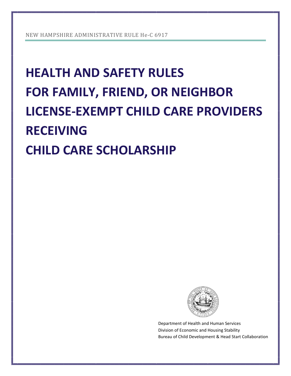# **HEALTH AND SAFETY RULES FOR FAMILY, FRIEND, OR NEIGHBOR LICENSE-EXEMPT CHILD CARE PROVIDERS RECEIVING CHILD CARE SCHOLARSHIP**



Department of Health and Human Services Division of Economic and Housing Stability Bureau of Child Development & Head Start Collaboration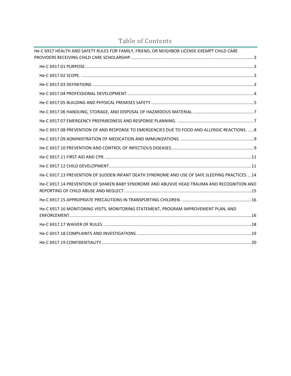| He-C 6917 HEALTH AND SAFETY RULES FOR FAMILY, FRIEND, OR NEIGHBOR LICENSE-EXEMPT CHILD CARE  |
|----------------------------------------------------------------------------------------------|
|                                                                                              |
|                                                                                              |
|                                                                                              |
|                                                                                              |
|                                                                                              |
|                                                                                              |
|                                                                                              |
| He-C 6917.08 PREVENTION OF AND RESPONSE TO EMERGENCIES DUE TO FOOD AND ALLERGIC REACTIONS. 8 |
|                                                                                              |
|                                                                                              |
|                                                                                              |
|                                                                                              |
| He-C 6917.13 PREVENTION OF SUDDEN INFANT DEATH SYNDROME AND USE OF SAFE SLEEPING PRACTICES14 |
| He-C 6917.14 PREVENTION OF SHAKEN BABY SYNDROME AND ABUSIVE HEAD TRAUMA AND RECOGNITION AND  |
|                                                                                              |
| He-C 6917.16 MONITORING VISITS, MONITORING STATEMENT, PROGRAM IMPROVEMENT PLAN, AND          |
|                                                                                              |
|                                                                                              |
|                                                                                              |

## Table of Contents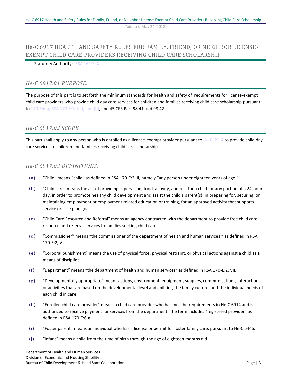## <span id="page-2-0"></span>He-C 6917 HEALTH AND SAFETY RULES FOR FAMILY, FRIEND, OR NEIGHBOR LICENSE-EXEMPT CHILD CARE PROVIDERS RECEIVING CHILD CARE SCHOLARSHIP

#### <span id="page-2-1"></span>Statutory Authority: [RSA 161:2, XII](http://www.gencourt.state.nh.us/rsa/html/XII/161/161-2.htm)

#### *He-C 6917.01 PURPOSE.*

The purpose of this part is to set forth the minimum standards for health and safety of requirements for license-exempt child care providers who provide child day care services for children and families receiving child care scholarship pursuant to [170-E:6-a, RSA 170-E:3, I\(c\), and \(h\),](http://nhdcyf.info/rsa/170-e.html) and 45 CFR Part 98.41 and 98.42.

## <span id="page-2-2"></span>*He-C 6917.02 SCOPE.*

<span id="page-2-3"></span>This part shall apply to any person who is enrolled as a license-exempt provider pursuant to  $He-C 6914$  to provide child day care services to children and families receiving child care scholarship.

#### *He-C 6917.03 DEFINITIONS.*

- (a) "Child" means "child" as defined in RSA 170-E:2, II, namely "any person under eighteen years of age."
- (b) "Child care" means the act of providing supervision, food, activity, and rest for a child for any portion of a 24-hour day, in order to promote healthy child development and assist the child's parent(s), in preparing for, securing, or maintaining employment or employment related education or training, for an approved activity that supports service or case plan goals.
- (c) "Child Care Resource and Referral" means an agency contracted with the department to provide free child care resource and referral services to families seeking child care.
- (d) "Commissioner" means "the commissioner of the department of health and human services," as defined in RSA 170-E:2, V.
- (e) "Corporal punishment" means the use of physical force, physical restraint, or physical actions against a child as a means of discipline.
- (f) "Department" means "the department of health and human services" as defined in RSA 170-E:2, VII.
- (g) "Developmentally appropriate" means actions, environment, equipment, supplies, communications, interactions, or activities that are based on the developmental level and abilities, the family culture, and the individual needs of each child in care.
- (h) "Enrolled child care provider" means a child care provider who has met the requirements in He-C 6914 and is authorized to receive payment for services from the department. The term includes "registered provider" as defined in RSA 170-E:6-a.
- (i) "Foster parent" means an individual who has a license or permit for foster family care, pursuant to He-C 6446.
- (j) "Infant" means a child from the time of birth through the age of eighteen months old.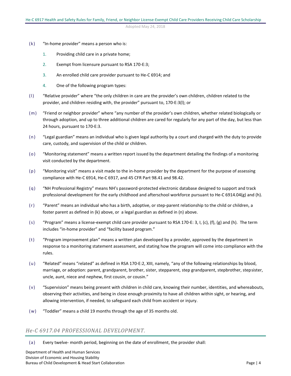- (k) "In-home provider" means a person who is:
	- 1. Providing child care in a private home;
	- 2. Exempt from licensure pursuant to RSA 170-E:3;
	- 3. An enrolled child care provider pursuant to He-C 6914; and
	- 4. One of the following program types:
- (l) "Relative provider" where "the only children in care are the provider's own children, children related to the provider, and children residing with, the provider" pursuant to, 170-E:3(l); or
- (m) "Friend or neighbor provider" where "any number of the provider's own children, whether related biologically or through adoption, and up to three additional children are cared for regularly for any part of the day, but less than 24 hours, pursuant to 170-E:3.
- (n) "Legal guardian" means an individual who is given legal authority by a court and charged with the duty to provide care, custody, and supervision of the child or children.
- (o) "Monitoring statement" means a written report issued by the department detailing the findings of a monitoring visit conducted by the department.
- (p) "Monitoring visit" means a visit made to the in-home provider by the department for the purpose of assessing compliance with He-C 6914, He-C 6917, and 45 CFR Part 98.41 and 98.42.
- (q) "NH Professional Registry" means NH's password-protected electronic database designed to support and track professional development for the early childhood and afterschool workforce pursuant to He-C 6914.04(g) and (h).
- (r) "Parent" means an individual who has a birth, adoptive, or step-parent relationship to the child or children, a foster parent as defined in (k) above, or a legal guardian as defined in (n) above.
- (s) "Program" means a license-exempt child care provider pursuant to RSA 170-E: 3, I, (c), (f), (g) and (h). The term includes "in-home provider" and "facility based program."
- (t) "Program improvement plan" means a written plan developed by a provider, approved by the department in response to a monitoring statement assessment, and stating how the program will come into compliance with the rules.
- (u) "Related" means "related" as defined in RSA 170-E:2, XIII, namely, "any of the following relationships by blood, marriage, or adoption: parent, grandparent, brother, sister, stepparent, step grandparent, stepbrother, stepsister, uncle, aunt, niece and nephew, first cousin, or cousin."
- (v) "Supervision" means being present with children in child care, knowing their number, identities, and whereabouts, observing their activities, and being in close enough proximity to have all children within sight, or hearing, and allowing intervention, if needed, to safeguard each child from accident or injury.
- (w) "Toddler" means a child 19 months through the age of 35 months old.

#### <span id="page-3-0"></span>*He-C 6917.04 PROFESSIONAL DEVELOPMENT.*

(a) Every twelve- month period, beginning on the date of enrollment, the provider shall: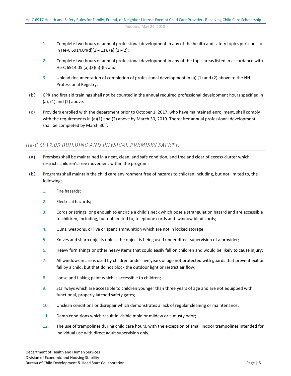- 1. Complete two hours of annual professional development in any of the health and safety topics pursuant to in He-C 6914.04(d)(1)-(11), (e) (1)-(2);
- 2. Complete two hours of annual professional development in any of the topic areas listed in accordance with He-C 6914.05 (a),(3)(a)-(l); and
- 3. Upload documentation of completion of professional development in (a) (1) and (2) above to the NH Professional Registry.
- (b) CPR and first aid trainings shall not be counted in the annual required professional development hours specified in (a), (1) and (2) above.
- (c) Providers enrolled with the department prior to October 1, 2017, who have maintained enrollment, shall comply with the requirements in (a)(1) and (2) above by March 30, 2019. Thereafter annual professional development shall be completed by March 30<sup>th</sup>.

## <span id="page-4-0"></span>*He-C 6917.05 BUILDING AND PHYSICAL PREMISES SAFETY.*

- (a) Premises shall be maintained in a neat, clean, and safe condition, and free and clear of excess clutter which restricts children's free movement within the program.
- (b) Programs shall maintain the child care environment free of hazards to children including, but not limited to, the following:
	- 1. Fire hazards;
	- 2. Electrical hazards;
	- 3. Cords or strings long enough to encircle a child's neck which pose a strangulation hazard and are accessible to children, including, but not limited to, telephone cords and window blind cords;
	- 4. Guns, weapons, or live or spent ammunition which are not in locked storage;
	- 5. Knives and sharp objects unless the object is being used under direct supervision of a provider;
	- 6. Heavy furnishings or other heavy items that could easily fall on children and would be likely to cause injury;
	- 7. All windows in areas used by children under five years of age not protected with guards that prevent exit or fall by a child, but that do not block the outdoor light or restrict air flow;
	- 8. Loose and flaking paint which is accessible to children;
	- 9. Stairways which are accessible to children younger than three years of age and are not equipped with functional, properly latched safety gates;
	- 10. Unclean conditions or disrepair which demonstrates a lack of regular cleaning or maintenance;
	- 11. Damp conditions which result in visible mold or mildew or a musty odor;
	- 12. The use of trampolines during child care hours, with the exception of small indoor trampolines intended for individual use with direct adult supervision only;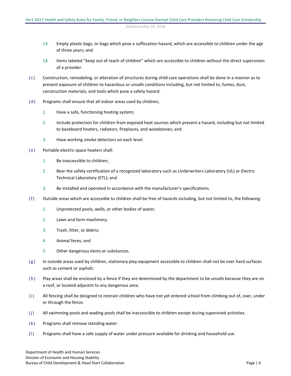- 13. Empty plastic bags, or bags which pose a suffocation hazard, which are accessible to children under the age of three years; and
- 14. Items labeled "keep out of reach of children" which are accessible to children without the direct supervision of a provider.
- (c) Construction, remodeling, or alteration of structures during child care operations shall be done in a manner as to prevent exposure of children to hazardous or unsafe conditions including, but not limited to, fumes, dust, construction materials, and tools which pose a safety hazard.
- (d) Programs shall ensure that all indoor areas used by children;
	- 1. Have a safe, functioning heating system;
	- 2. Include protection for children from exposed heat sources which present a hazard, including but not limited to baseboard heaters, radiators, fireplaces, and woodstoves; and
	- 3. Have working smoke detectors on each level.
- (e) Portable electric space heaters shall:
	- 1. Be inaccessible to children;
	- 2. Bear the safety certification of a recognized laboratory such as Underwriters Laboratory (UL) or Electro Technical Laboratory (ETL); and
	- 3. Be installed and operated in accordance with the manufacturer's specifications.
- (f) Outside areas which are accessible to children shall be free of hazards including, but not limited to, the following:
	- 1. Unprotected pools, wells, or other bodies of water;
	- 2. Lawn and farm machinery;
	- 3. Trash, litter, or debris;
	- 4. Animal feces; and
	- 5. Other dangerous items or substances.
- $(g)$  In outside areas used by children, stationary play equipment accessible to children shall not be over hard surfaces such as cement or asphalt.
- (h) Play areas shall be enclosed by a fence if they are determined by the department to be unsafe because they are on a roof, or located adjacent to any dangerous area.
- (i) All fencing shall be designed to restrain children who have not yet entered school from climbing out of, over, under or through the fence.
- (j) All swimming pools and wading pools shall be inaccessible to children except during supervised activities.
- (k) Programs shall remove standing water.
- (l) Programs shall have a safe supply of water under pressure available for drinking and household use.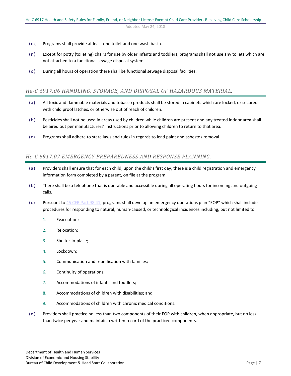- (m) Programs shall provide at least one toilet and one wash basin.
- (n) Except for potty (toileting) chairs for use by older infants and toddlers, programs shall not use any toilets which are not attached to a functional sewage disposal system.
- (o) During all hours of operation there shall be functional sewage disposal facilities.

#### <span id="page-6-0"></span>*He-C 6917.06 HANDLING, STORAGE, AND DISPOSAL OF HAZARDOUS MATERIAL.*

- (a) All toxic and flammable materials and tobacco products shall be stored in cabinets which are locked, or secured with child proof latches, or otherwise out of reach of children.
- (b) Pesticides shall not be used in areas used by children while children are present and any treated indoor area shall be aired out per manufacturers' instructions prior to allowing children to return to that area.
- (c) Programs shall adhere to state laws and rules in regards to lead paint and asbestos removal.

## <span id="page-6-1"></span>*He-C 6917.07 EMERGENCY PREPAREDNESS AND RESPONSE PLANNING.*

- (a) Providers shall ensure that for each child, upon the child's first day, there is a child registration and emergency information form completed by a parent, on file at the program.
- (b) There shall be a telephone that is operable and accessible during all operating hours for incoming and outgoing calls.
- (c) Pursuant t[o 45 CFR Part 98.41](https://www.govregs.com/regulations/expand/title45_chapterA_part98_subpartE_section98.41#title45_chapterA_part98_subpartE_section98.411), programs shall develop an emergency operations plan "EOP" which shall include procedures for responding to natural, human-caused, or technological incidences including, but not limited to:
	- 1. Evacuation;
	- 2. Relocation;
	- 3. Shelter-in-place;
	- 4. Lockdown;
	- 5. Communication and reunification with families;
	- 6. Continuity of operations;
	- 7. Accommodations of infants and toddlers;
	- 8. Accommodations of children with disabilities; and
	- 9. Accommodations of children with chronic medical conditions.
- (d) Providers shall practice no less than two components of their EOP with children, when appropriate, but no less than twice per year and maintain a written record of the practiced components.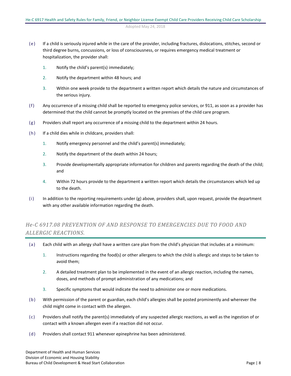- (e) If a child is seriously injured while in the care of the provider, including fractures, dislocations, stitches, second or third degree burns, concussions, or loss of consciousness, or requires emergency medical treatment or hospitalization, the provider shall:
	- 1. Notify the child's parent(s) immediately;
	- 2. Notify the department within 48 hours; and
	- 3. Within one week provide to the department a written report which details the nature and circumstances of the serious injury.
- (f) Any occurrence of a missing child shall be reported to emergency police services, or 911, as soon as a provider has determined that the child cannot be promptly located on the premises of the child care program.
- (g) Providers shall report any occurrence of a missing child to the department within 24 hours.
- (h) If a child dies while in childcare, providers shall:
	- 1. Notify emergency personnel and the child's parent(s) immediately;
	- 2. Notify the department of the death within 24 hours;
	- 3. Provide developmentally appropriate information for children and parents regarding the death of the child; and
	- 4. Within 72 hours provide to the department a written report which details the circumstances which led up to the death.
- (i) In addition to the reporting requirements under (g) above, providers shall, upon request, provide the department with any other available information regarding the death.

## <span id="page-7-0"></span>*He-C 6917.08 PREVENTION OF AND RESPONSE TO EMERGENCIES DUE TO FOOD AND ALLERGIC REACTIONS.*

- (a) Each child with an allergy shall have a written care plan from the child's physician that includes at a minimum:
	- 1. Instructions regarding the food(s) or other allergens to which the child is allergic and steps to be taken to avoid them;
	- 2. A detailed treatment plan to be implemented in the event of an allergic reaction, including the names, doses, and methods of prompt administration of any medications; and
	- 3. Specific symptoms that would indicate the need to administer one or more medications.
- (b) With permission of the parent or guardian, each child's allergies shall be posted prominently and wherever the child might come in contact with the allergen.
- (c) Providers shall notify the parent(s) immediately of any suspected allergic reactions, as well as the ingestion of or contact with a known allergen even if a reaction did not occur.
- (d) Providers shall contact 911 whenever epinephrine has been administered.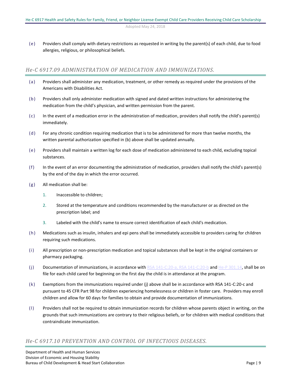(e) Providers shall comply with dietary restrictions as requested in writing by the parent(s) of each child, due to food allergies, religious, or philosophical beliefs.

## <span id="page-8-0"></span>*He-C 6917.09 ADMINISTRATION OF MEDICATION AND IMMUNIZATIONS.*

- (a) Providers shall administer any medication, treatment, or other remedy as required under the provisions of the Americans with Disabilities Act.
- (b) Providers shall only administer medication with signed and dated written instructions for administering the medication from the child's physician, and written permission from the parent.
- (c) In the event of a medication error in the administration of medication, providers shall notify the child's parent(s) immediately.
- (d) For any chronic condition requiring medication that is to be administered for more than twelve months, the written parental authorization specified in (b) above shall be updated annually.
- (e) Providers shall maintain a written log for each dose of medication administered to each child, excluding topical substances.
- (f) In the event of an error documenting the administration of medication, providers shall notify the child's parent(s) by the end of the day in which the error occurred.
- (g) All medication shall be:
	- 1. Inaccessible to children;
	- 2. Stored at the temperature and conditions recommended by the manufacturer or as directed on the prescription label; and
	- 3. Labeled with the child's name to ensure correct identification of each child's medication.
- (h) Medications such as insulin, inhalers and epi pens shall be immediately accessible to providers caring for children requiring such medications.
- (i) All prescription or non-prescription medication and topical substances shall be kept in the original containers or pharmacy packaging.
- (j) Documentation of immunizations, in accordance with [RSA 141-C:20-a, RSA 141-C:20-b](http://www.gencourt.state.nh.us/rsa/html/X/141-C/141-C-mrg.htm) an[d He-P 301.14,](http://www.gencourt.state.nh.us/rules/state_agencies/he-p300.html) shall be on file for each child cared for beginning on the first day the child is in attendance at the program.
- (k) Exemptions from the immunizations required under (j) above shall be in accordance with RSA 141-C:20-c and pursuant to 45 CFR Part 98 for children experiencing homelessness or children in foster care. Providers may enroll children and allow for 60 days for families to obtain and provide documentation of immunizations.
- (l) Providers shall not be required to obtain immunization records for children whose parents object in writing, on the grounds that such immunizations are contrary to their religious beliefs, or for children with medical conditions that contraindicate immunization.

## <span id="page-8-1"></span>*He-C 6917.10 PREVENTION AND CONTROL OF INFECTIOUS DISEASES.*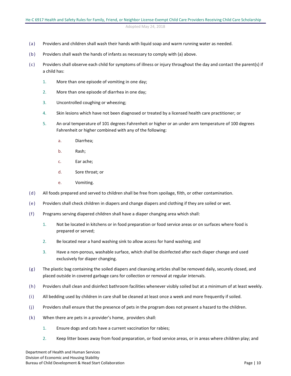- (a) Providers and children shall wash their hands with liquid soap and warm running water as needed.
- (b) Providers shall wash the hands of infants as necessary to comply with (a) above.
- (c) Providers shall observe each child for symptoms of illness or injury throughout the day and contact the parent(s) if a child has:
	- 1. More than one episode of vomiting in one day;
	- 2. More than one episode of diarrhea in one day;
	- 3. Uncontrolled coughing or wheezing;
	- 4. Skin lesions which have not been diagnosed or treated by a licensed health care practitioner; or
	- 5. An oral temperature of 101 degrees Fahrenheit or higher or an under arm temperature of 100 degrees Fahrenheit or higher combined with any of the following:
		- a. Diarrhea;
		- b. Rash;
		- c. Ear ache;
		- d. Sore throat; or
		- e. Vomiting.
- (d) All foods prepared and served to children shall be free from spoilage, filth, or other contamination.
- (e) Providers shall check children in diapers and change diapers and clothing if they are soiled or wet.
- (f) Programs serving diapered children shall have a diaper changing area which shall:
	- 1. Not be located in kitchens or in food preparation or food service areas or on surfaces where food is prepared or served;
	- 2. Be located near a hand washing sink to allow access for hand washing; and
	- 3. Have a non-porous, washable surface, which shall be disinfected after each diaper change and used exclusively for diaper changing.
- (g) The plastic bag containing the soiled diapers and cleansing articles shall be removed daily, securely closed, and placed outside in covered garbage cans for collection or removal at regular intervals.
- (h) Providers shall clean and disinfect bathroom facilities whenever visibly soiled but at a minimum of at least weekly.
- (i) All bedding used by children in care shall be cleaned at least once a week and more frequently if soiled.
- (j) Providers shall ensure that the presence of pets in the program does not present a hazard to the children.
- (k) When there are pets in a provider's home, providers shall:
	- 1. Ensure dogs and cats have a current vaccination for rabies;
	- 2. Keep litter boxes away from food preparation, or food service areas, or in areas where children play; and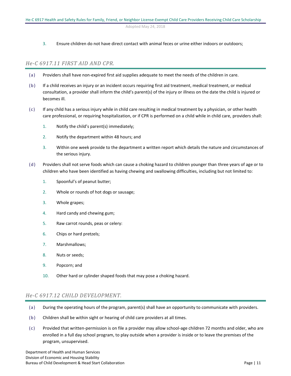#### 3. Ensure children do not have direct contact with animal feces or urine either indoors or outdoors;

#### <span id="page-10-0"></span>*He-C 6917.11 FIRST AID AND CPR.*

- (a) Providers shall have non-expired first aid supplies adequate to meet the needs of the children in care.
- (b) If a child receives an injury or an incident occurs requiring first aid treatment, medical treatment, or medical consultation, a provider shall inform the child's parent(s) of the injury or illness on the date the child is injured or becomes ill.
- (c) If any child has a serious injury while in child care resulting in medical treatment by a physician, or other health care professional, or requiring hospitalization, or if CPR is performed on a child while in child care, providers shall:
	- 1. Notify the child's parent(s) immediately;
	- 2. Notify the department within 48 hours; and
	- 3. Within one week provide to the department a written report which details the nature and circumstances of the serious injury.
- (d) Providers shall not serve foods which can cause a choking hazard to children younger than three years of age or to children who have been identified as having chewing and swallowing difficulties, including but not limited to:
	- 1. Spoonful's of peanut butter;
	- 2. Whole or rounds of hot dogs or sausage;
	- 3. Whole grapes;
	- 4. Hard candy and chewing gum;
	- 5. Raw carrot rounds, peas or celery:
	- 6. Chips or hard pretzels;
	- 7. Marshmallows;
	- 8. Nuts or seeds;
	- 9. Popcorn; and
	- 10. Other hard or cylinder shaped foods that may pose a choking hazard.

## <span id="page-10-1"></span>*He-C 6917.12 CHILD DEVELOPMENT.*

- (a) During the operating hours of the program, parent(s) shall have an opportunity to communicate with providers.
- (b) Children shall be within sight or hearing of child care providers at all times.
- (c) Provided that written-permission is on file a provider may allow school-age children 72 months and older, who are enrolled in a full day school program, to play outside when a provider is inside or to leave the premises of the program, unsupervised.

Department of Health and Human Services Division of Economic and Housing Stability Bureau of Child Development & Head Start Collaboration **Page | 11**  $P$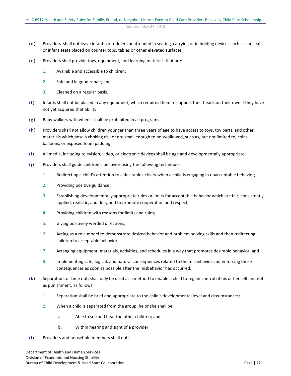- (d) Providers shall not leave infants or toddlers unattended in seating, carrying or in holding devices such as car seats or infant seats placed on counter tops, tables or other elevated surfaces.
- (e) Providers shall provide toys, equipment, and learning materials that are:
	- 1. Available and accessible to children;
	- 2. Safe and in good repair; and
	- 3. Cleaned on a regular basis.
- (f) Infants shall not be placed in any equipment, which requires them to support their heads on their own if they have not yet acquired that ability.
- (g) Baby walkers with wheels shall be prohibited in all programs.
- (h) Providers shall not allow children younger than three years of age to have access to toys, toy parts, and other materials which pose a choking risk or are small enough to be swallowed, such as, but not limited to, coins, balloons, or exposed foam padding.
- (i) All media, including television, video, or electronic devices shall be age and developmentally appropriate.
- (j) Providers shall guide children's behavior using the following techniques:
	- 1. Redirecting a child's attention to a desirable activity when a child is engaging in unacceptable behavior;
	- 2. Providing positive guidance;
	- 3. Establishing developmentally appropriate rules or limits for acceptable behavior which are fair, consistently applied, realistic, and designed to promote cooperation and respect;
	- 4. Providing children with reasons for limits and rules;
	- 5. Giving positively worded directions;
	- 6. Acting as a role model to demonstrate desired behavior and problem-solving skills and then redirecting children to acceptable behavior;
	- 7. Arranging equipment, materials, activities, and schedules in a way that promotes desirable behavior; and
	- 8. Implementing safe, logical, and natural consequences related to the misbehavior and enforcing those consequences as soon as possible after the misbehavior has occurred.
- (k) Separation, or time out, shall only be used as a method to enable a child to regain control of his or her self and not as punishment, as follows:
	- 1. Separation shall be brief and appropriate to the child's developmental level and circumstances;
	- 2. When a child is separated from the group, he or she shall be:
		- a. Able to see and hear the other children; and
		- b. Within hearing and sight of a provider.
- (l) Providers and household members shall not: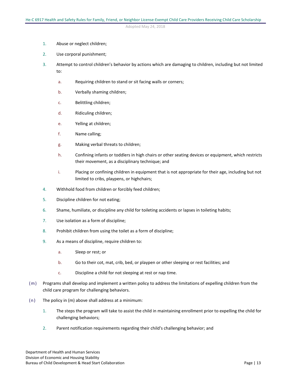- 1. Abuse or neglect children;
- 2. Use corporal punishment;
- 3. Attempt to control children's behavior by actions which are damaging to children, including but not limited to:
	- a. Requiring children to stand or sit facing walls or corners;
	- b. Verbally shaming children;
	- c. Belittling children;
	- d. Ridiculing children;
	- e. Yelling at children;
	- f. Name calling;
	- g. Making verbal threats to children;
	- h. Confining infants or toddlers in high chairs or other seating devices or equipment, which restricts their movement, as a disciplinary technique; and
	- i. Placing or confining children in equipment that is not appropriate for their age, including but not limited to cribs, playpens, or highchairs;
- 4. Withhold food from children or forcibly feed children;
- 5. Discipline children for not eating;
- 6. Shame, humiliate, or discipline any child for toileting accidents or lapses in toileting habits;
- 7. Use isolation as a form of discipline;
- 8. Prohibit children from using the toilet as a form of discipline;
- 9. As a means of discipline, require children to:
	- a. Sleep or rest; or
	- b. Go to their cot, mat, crib, bed, or playpen or other sleeping or rest facilities; and
	- c. Discipline a child for not sleeping at rest or nap time.
- (m) Programs shall develop and implement a written policy to address the limitations of expelling children from the child care program for challenging behaviors.
- (n) The policy in (m) above shall address at a minimum:
	- 1. The steps the program will take to assist the child in maintaining enrollment prior to expelling the child for challenging behaviors;
	- 2. Parent notification requirements regarding their child's challenging behavior; and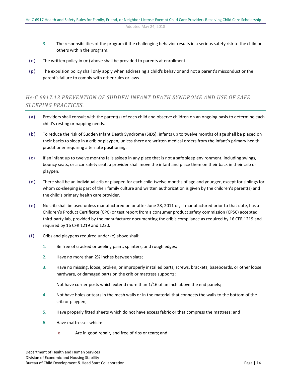- 3. The responsibilities of the program if the challenging behavior results in a serious safety risk to the child or others within the program.
- (o) The written policy in (m) above shall be provided to parents at enrollment.
- (p) The expulsion policy shall only apply when addressing a child's behavior and not a parent's misconduct or the parent's failure to comply with other rules or laws.

## <span id="page-13-0"></span>*He-C 6917.13 PREVENTION OF SUDDEN INFANT DEATH SYNDROME AND USE OF SAFE SLEEPING PRACTICES.*

- (a) Providers shall consult with the parent(s) of each child and observe children on an ongoing basis to determine each child's resting or napping needs.
- (b) To reduce the risk of Sudden Infant Death Syndrome (SIDS), infants up to twelve months of age shall be placed on their backs to sleep in a crib or playpen, unless there are written medical orders from the infant's primary health practitioner requiring alternate positioning.
- (c) If an infant up to twelve months falls asleep in any place that is not a safe sleep environment, including swings, bouncy seats, or a car safety seat, a provider shall move the infant and place them on their back in their crib or playpen.
- (d) There shall be an individual crib or playpen for each child twelve months of age and younger, except for siblings for whom co-sleeping is part of their family culture and written authorization is given by the children's parent(s) and the child's primary health care provider.
- (e) No crib shall be used unless manufactured on or after June 28, 2011 or, if manufactured prior to that date, has a Children's Product Certificate (CPC) or test report from a consumer product safety commission (CPSC) accepted third-party lab, provided by the manufacturer documenting the crib's compliance as required by 16 CFR 1219 and required by 16 CFR 1219 and 1220.
- (f) Cribs and playpens required under (e) above shall:
	- 1. Be free of cracked or peeling paint, splinters, and rough edges;
	- 2. Have no more than 2⅜ inches between slats;
	- 3. Have no missing, loose, broken, or improperly installed parts, screws, brackets, baseboards, or other loose hardware, or damaged parts on the crib or mattress supports;

Not have corner posts which extend more than 1/16 of an inch above the end panels;

- 4. Not have holes or tears in the mesh walls or in the material that connects the walls to the bottom of the crib or playpen;
- 5. Have properly fitted sheets which do not have excess fabric or that compress the mattress; and
- 6. Have mattresses which:
	- a. Are in good repair, and free of rips or tears; and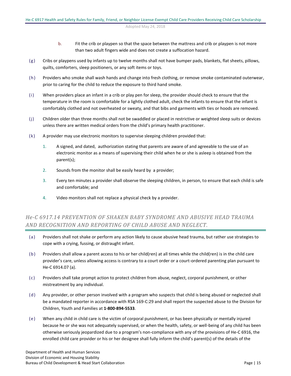- b. Fit the crib or playpen so that the space between the mattress and crib or playpen is not more than two adult fingers wide and does not create a suffocation hazard.
- $(g)$  Cribs or playpens used by infants up to twelve months shall not have bumper pads, blankets, flat sheets, pillows, quilts, comforters, sleep positioners, or any soft items or toys.
- (h) Providers who smoke shall wash hands and change into fresh clothing, or remove smoke contaminated outerwear, prior to caring for the child to reduce the exposure to third hand smoke.
- (i) When providers place an infant in a crib or play pen for sleep, the provider should check to ensure that the temperature in the room is comfortable for a lightly clothed adult, check the infants to ensure that the infant is comfortably clothed and not overheated or sweaty, and that bibs and garments with ties or hoods are removed.
- (j) Children older than three months shall not be swaddled or placed in restrictive or weighted sleep suits or devices unless there are written medical orders from the child's primary health practitioner.
- (k) A provider may use electronic monitors to supervise sleeping children provided that:
	- 1. A signed, and dated, authorization stating that parents are aware of and agreeable to the use of an electronic monitor as a means of supervising their child when he or she is asleep is obtained from the parent(s);
	- 2. Sounds from the monitor shall be easily heard by a provider;
	- 3. Every ten minutes a provider shall observe the sleeping children, in person, to ensure that each child is safe and comfortable; and
	- 4. Video monitors shall not replace a physical check by a provider.

## <span id="page-14-0"></span>*He-C 6917.14 PREVENTION OF SHAKEN BABY SYNDROME AND ABUSIVE HEAD TRAUMA AND RECOGNITION AND REPORTING OF CHILD ABUSE AND NEGLECT.*

- (a) Providers shall not shake or perform any action likely to cause abusive head trauma, but rather use strategies to cope with a crying, fussing, or distraught infant.
- (b) Providers shall allow a parent access to his or her child(ren) at all times while the child(ren) is in the child care provider's care, unless allowing access is contrary to a court order or a court-ordered parenting plan pursuant to He-C 6914.07 (a).
- (c) Providers shall take prompt action to protect children from abuse, neglect, corporal punishment, or other mistreatment by any individual.
- (d) Any provider, or other person involved with a program who suspects that child is being abused or neglected shall be a mandated reporter in accordance with RSA 169-C:29 and shall report the suspected abuse to the Division for Children, Youth and Families at **1-800-894-5533**.
- (e) When any child in child care is the victim of corporal punishment, or has been physically or mentally injured because he or she was not adequately supervised, or when the health, safety, or well-being of any child has been otherwise seriously jeopardized due to a program's non-compliance with any of the provisions of He-C 6916, the enrolled child care provider or his or her designee shall fully inform the child's parent(s) of the details of the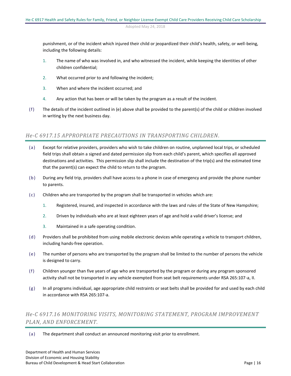punishment, or of the incident which injured their child or jeopardized their child's health, safety, or well-being, including the following details:

- 1. The name of who was involved in, and who witnessed the incident, while keeping the identities of other children confidential;
- 2. What occurred prior to and following the incident;
- 3. When and where the incident occurred; and
- 4. Any action that has been or will be taken by the program as a result of the incident.
- (f) The details of the incident outlined in (e) above shall be provided to the parent(s) of the child or children involved in writing by the next business day.

#### <span id="page-15-0"></span>*He-C 6917.15 APPROPRIATE PRECAUTIONS IN TRANSPORTING CHILDREN.*

- (a) Except for relative providers, providers who wish to take children on routine, unplanned local trips, or scheduled field trips shall obtain a signed and dated permission slip from each child's parent, which specifies all approved destinations and activities. This permission slip shall include the destination of the trip(s) and the estimated time that the parent(s) can expect the child to return to the program.
- (b) During any field trip, providers shall have access to a phone in case of emergency and provide the phone number to parents.
- (c) Children who are transported by the program shall be transported in vehicles which are:
	- 1. Registered, insured, and inspected in accordance with the laws and rules of the State of New Hampshire;
	- 2. Driven by individuals who are at least eighteen years of age and hold a valid driver's license; and
	- 3. Maintained in a safe operating condition.
- (d) Providers shall be prohibited from using mobile electronic devices while operating a vehicle to transport children, including hands-free operation.
- (e) The number of persons who are transported by the program shall be limited to the number of persons the vehicle is designed to carry.
- (f) Children younger than five years of age who are transported by the program or during any program sponsored activity shall not be transported in any vehicle exempted from seat belt requirements under RSA 265:107-a, II.
- (g) In all programs individual, age appropriate child restraints or seat belts shall be provided for and used by each child in accordance with RSA 265:107-a.

## <span id="page-15-1"></span>*He-C 6917.16 MONITORING VISITS, MONITORING STATEMENT, PROGRAM IMPROVEMENT PLAN, AND ENFORCEMENT.*

(a) The department shall conduct an announced monitoring visit prior to enrollment.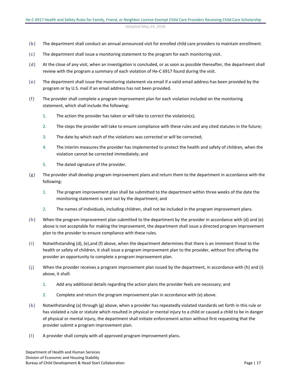- (b) The department shall conduct an annual announced visit for enrolled child care providers to maintain enrollment.
- (c) The department shall issue a monitoring statement to the program for each monitoring visit.
- (d) At the close of any visit, when an investigation is concluded, or as soon as possible thereafter, the department shall review with the program a summary of each violation of He-C 6917 found during the visit.
- (e) The department shall issue the monitoring statement via email if a valid email address has been provided by the program or by U.S. mail if an email address has not been provided.
- (f) The provider shall complete a program improvement plan for each violation included on the monitoring statement, which shall include the following:
	- 1. The action the provider has taken or will take to correct the violation(s);
	- 2. The steps the provider will take to ensure compliance with these rules and any cited statutes in the future;
	- 3. The date by which each of the violations was corrected or will be corrected;
	- 4. The interim measures the provider has implemented to protect the health and safety of children, when the violation cannot be corrected immediately; and
	- 5. The dated signature of the provider.
- (g) The provider shall develop program improvement plans and return them to the department in accordance with the following:
	- 1. The program improvement plan shall be submitted to the department within three weeks of the date the monitoring statement is sent out by the department; and
	- 2. The names of individuals, including children, shall not be included in the program improvement plans.
- (h) When the program improvement plan submitted to the department by the provider in accordance with (d) and (e) above is not acceptable for making the improvement, the department shall issue a directed program improvement plan to the provider to ensure compliance with these rules.
- (i) Notwithstanding (d), (e),and (f) above, when the department determines that there is an imminent threat to the health or safety of children, it shall issue a program improvement plan to the provider, without first offering the provider an opportunity to complete a program improvement plan.
- (j) When the provider receives a program improvement plan issued by the department, in accordance with (h) and (i) above, it shall:
	- 1. Add any additional details regarding the action plans the provider feels are necessary; and
	- 2. Complete and return the program improvement plan in accordance with (e) above.
- (k) Notwithstanding (a) through (g) above, when a provider has repeatedly violated standards set forth in this rule or has violated a rule or statute which resulted in physical or mental injury to a child or caused a child to be in danger of physical or mental injury, the department shall initiate enforcement action without first requesting that the provider submit a program improvement plan.
- (l) A provider shall comply with all approved program improvement plans.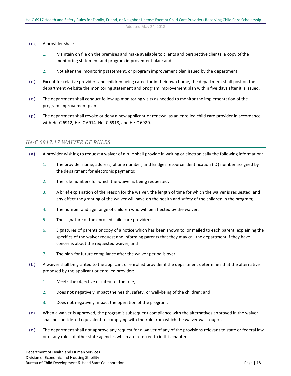- (m) A provider shall:
	- 1. Maintain on file on the premises and make available to clients and perspective clients, a copy of the monitoring statement and program improvement plan; and
	- 2. Not alter the, monitoring statement, or program improvement plan issued by the department.
- (n) Except for relative providers and children being cared for in their own home, the department shall post on the department website the monitoring statement and program improvement plan within five days after it is issued.
- (o) The department shall conduct follow up monitoring visits as needed to monitor the implementation of the program improvement plan.
- (p) The department shall revoke or deny a new applicant or renewal as an enrolled child care provider in accordance with He-C 6912, He- C 6914, He- C 6918, and He-C 6920.

## <span id="page-17-0"></span>*He-C 6917.17 WAIVER OF RULES.*

- (a) A provider wishing to request a waiver of a rule shall provide in writing or electronically the following information:
	- 1. The provider name, address, phone number, and Bridges resource identification (ID) number assigned by the department for electronic payments;
	- 2. The rule numbers for which the waiver is being requested;
	- 3. A brief explanation of the reason for the waiver, the length of time for which the waiver is requested, and any effect the granting of the waiver will have on the health and safety of the children in the program;
	- 4. The number and age range of children who will be affected by the waiver;
	- 5. The signature of the enrolled child care provider;
	- 6. Signatures of parents or copy of a notice which has been shown to, or mailed to each parent, explaining the specifics of the waiver request and informing parents that they may call the department if they have concerns about the requested waiver, and
	- 7. The plan for future compliance after the waiver period is over.
- (b) A waiver shall be granted to the applicant or enrolled provider if the department determines that the alternative proposed by the applicant or enrolled provider:
	- 1. Meets the objective or intent of the rule;
	- 2. Does not negatively impact the health, safety, or well-being of the children; and
	- 3. Does not negatively impact the operation of the program.
- (c) When a waiver is approved, the program's subsequent compliance with the alternatives approved in the waiver shall be considered equivalent to complying with the rule from which the waiver was sought.
- (d) The department shall not approve any request for a waiver of any of the provisions relevant to state or federal law or of any rules of other state agencies which are referred to in this chapter.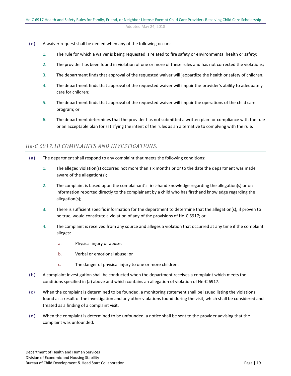- (e) A waiver request shall be denied when any of the following occurs:
	- 1. The rule for which a waiver is being requested is related to fire safety or environmental health or safety;
	- 2. The provider has been found in violation of one or more of these rules and has not corrected the violations;
	- 3. The department finds that approval of the requested waiver will jeopardize the health or safety of children;
	- 4. The department finds that approval of the requested waiver will impair the provider's ability to adequately care for children;
	- 5. The department finds that approval of the requested waiver will impair the operations of the child care program; or
	- 6. The department determines that the provider has not submitted a written plan for compliance with the rule or an acceptable plan for satisfying the intent of the rules as an alternative to complying with the rule.

## <span id="page-18-0"></span>*He-C 6917.18 COMPLAINTS AND INVESTIGATIONS.*

- (a) The department shall respond to any complaint that meets the following conditions:
	- 1. The alleged violation(s) occurred not more than six months prior to the date the department was made aware of the allegation(s);
	- 2. The complaint is based upon the complainant's first-hand knowledge regarding the allegation(s) or on information reported directly to the complainant by a child who has firsthand knowledge regarding the allegation(s);
	- 3. There is sufficient specific information for the department to determine that the allegation(s), if proven to be true, would constitute a violation of any of the provisions of He-C 6917; or
	- 4. The complaint is received from any source and alleges a violation that occurred at any time if the complaint alleges:
		- a. Physical injury or abuse;
		- b. Verbal or emotional abuse; or
		- c. The danger of physical injury to one or more children.
- (b) A complaint investigation shall be conducted when the department receives a complaint which meets the conditions specified in (a) above and which contains an allegation of violation of He-C 6917.
- (c) When the complaint is determined to be founded, a monitoring statement shall be issued listing the violations found as a result of the investigation and any other violations found during the visit, which shall be considered and treated as a finding of a complaint visit.
- (d) When the complaint is determined to be unfounded, a notice shall be sent to the provider advising that the complaint was unfounded.